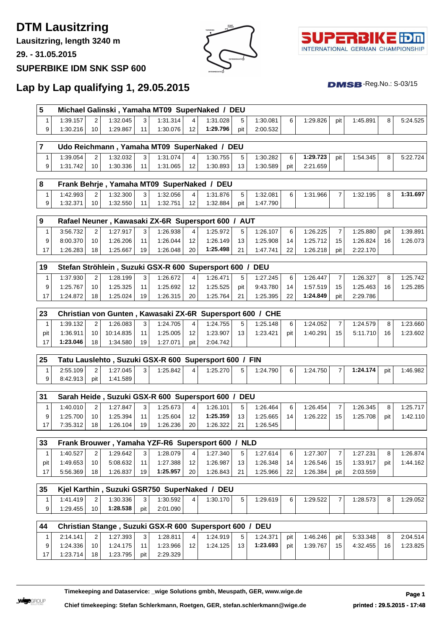# **DTM Lausitzring**

**Lausitzring, length 3240 m**

**29. - 31.05.2015**

### **SUPERBIKE IDM SNK SSP 600**





 $DMSB$ -Reg.No.:  $S-03/15$ 

## **Lap by Lap qualifying 1, 29.05.2015**

| 5  |          |                |          |    |          |    | Michael Galinski, Yamaha MT09 SuperNaked / DEU     |     |          |     |          |     |          |     |          |
|----|----------|----------------|----------|----|----------|----|----------------------------------------------------|-----|----------|-----|----------|-----|----------|-----|----------|
| 1  | 1:39.157 | 2              | 1:32.045 | 3  | 1:31.314 | 4  | 1:31.028                                           | 5   | 1:30.081 | 6   | 1:29.826 | pit | 1:45.891 | 8   | 5:24.525 |
| 9  | 1:30.216 | 10             | 1:29.867 | 11 | 1:30.076 | 12 | 1:29.796                                           | pit | 2:00.532 |     |          |     |          |     |          |
|    |          |                |          |    |          |    |                                                    |     |          |     |          |     |          |     |          |
| 7  |          |                |          |    |          |    | Udo Reichmann, Yamaha MT09 SuperNaked / DEU        |     |          |     |          |     |          |     |          |
| 1  | 1:39.054 | 2              | 1:32.032 | 3  | 1:31.074 | 4  | 1:30.755                                           | 5   | 1:30.282 | 6   | 1:29.723 | pit | 1:54.345 | 8   | 5:22.724 |
| 9  | 1:31.742 | 10             | 1:30.336 | 11 | 1:31.065 | 12 | 1:30.893                                           | 13  | 1:30.589 | pit | 2:21.659 |     |          |     |          |
|    |          |                |          |    |          |    |                                                    |     |          |     |          |     |          |     |          |
| 8  |          |                |          |    |          |    | Frank Behrje, Yamaha MT09 SuperNaked / DEU         |     |          |     |          |     |          |     |          |
| 1  | 1:42.993 | $\overline{2}$ | 1:32.300 | 3  | 1:32.056 | 4  | 1:31.876                                           | 5   | 1:32.081 | 6   | 1:31.966 | 7   | 1:32.195 | 8   | 1:31.697 |
| 9  | 1:32.371 | 10             | 1:32.550 | 11 | 1:32.751 | 12 | 1:32.884                                           | pit | 1:47.790 |     |          |     |          |     |          |
|    |          |                |          |    |          |    |                                                    |     |          |     |          |     |          |     |          |
| 9  |          |                |          |    |          |    | Rafael Neuner, Kawasaki ZX-6R Supersport 600 / AUT |     |          |     |          |     |          |     |          |
| 1  | 3:56.732 | 2              | 1:27.917 | 3  | 1:26.938 | 4  | 1:25.972                                           | 5   | 1:26.107 | 6   | 1:26.225 | 7   | 1:25.880 | pit | 1:39.891 |
| 9  | 8:00.370 | 10             | 1:26.206 | 11 | 1:26.044 | 12 | 1:26.149                                           | 13  | 1:25.908 | 14  | 1:25.712 | 15  | 1:26.824 | 16  | 1:26.073 |
| 17 | 1:26.283 | 18             | 1:25.667 | 19 | 1:26.048 | 20 | 1:25.498                                           | 21  | 1:47.741 | 22  | 1:26.218 | pit | 2:22.170 |     |          |

| 19 |          |    |          |                 |          |                 | Stefan Ströhlein, Suzuki GSX-R 600 Supersport 600 / DEU |     |          |    |          |       |          |    |          |
|----|----------|----|----------|-----------------|----------|-----------------|---------------------------------------------------------|-----|----------|----|----------|-------|----------|----|----------|
|    | 1:37.930 | 2  | 1:28.199 | 3 <sup>1</sup>  | 1:26.672 | $\sim$          | 1:26.471                                                |     | 1:27.245 | 6  | 1:26.447 |       | 1:26.327 |    | 1:25.742 |
|    | 1:25.767 | 10 | 1:25.325 | 11 <sub>1</sub> | 1:25.692 | 12 <sub>1</sub> | 1:25.525                                                | pit | 9:43.780 | 14 | 1:57.519 | 15    | 1:25.463 | 16 | 1:25.285 |
| 17 | 1:24.872 | 18 | 1:25.024 | 19              | 1:26.315 | 20              | 1:25.764                                                | 21  | 1:25.395 | 22 | 1:24.849 | pit l | 2:29.786 |    |          |

| 23  |          |                 |           |                 |          |                 | Christian von Gunten, Kawasaki ZX-6R Supersport 600 / CHE |    |          |     |          |    |          |    |          |
|-----|----------|-----------------|-----------|-----------------|----------|-----------------|-----------------------------------------------------------|----|----------|-----|----------|----|----------|----|----------|
|     | 1:39.132 |                 | 1:26.083  | 3 <sup>1</sup>  | 1:24.705 | $\overline{4}$  | 1:24.755                                                  |    | 1:25.148 | 6   | 1:24.052 |    | 1:24.579 | 8. | 1:23.660 |
| pit | 1:36.911 | 10 <sub>1</sub> | 10:14.835 | 11 <sub>1</sub> | 1:25.005 | 12 <sup>2</sup> | 1:23.907                                                  | 13 | 1:23.421 | pit | 1:40.291 | 15 | 5:11.710 | 16 | 1:23.602 |
| 17  | 1:23.046 | 18              | 1:34.580  | 19 <sub>1</sub> | 1:27.071 | pit             | 2:04.742                                                  |    |          |     |          |    |          |    |          |

| 25 |          |     |          |   | Tatu Lauslehto, Suzuki GSX-R 600 Supersport 600 / FIN |   |          |   |          |   |          |          |     |          |
|----|----------|-----|----------|---|-------------------------------------------------------|---|----------|---|----------|---|----------|----------|-----|----------|
|    | 2:55.109 | 2   | 1:27.045 | 3 | 1:25.842                                              | 4 | 1:25.270 | Б | 1:24.790 | 6 | 1:24.750 | 1:24.174 | pit | 1:46.982 |
| ົ  | 8:42.913 | pit | 1:41.589 |   |                                                       |   |          |   |          |   |          |          |     |          |

| 31 |          |                 | Sarah Heide, Suzuki GSX-R 600 Supersport 600 / DEU |                 |          |                 |          |    |          |    |          |                 |          |     |          |
|----|----------|-----------------|----------------------------------------------------|-----------------|----------|-----------------|----------|----|----------|----|----------|-----------------|----------|-----|----------|
|    | 1:40.010 |                 | 1:27.847                                           | 3 <sup>1</sup>  | 1:25.673 | $\mathbf{4}$    | 1:26.101 | Б. | 1:26.464 | 6  | 1:26.454 |                 | 1:26.345 |     | 1:25.717 |
|    | 1:25.700 | 10 <sup>1</sup> | 1:25.394                                           | 11 <sub>1</sub> | 1:25.604 | 12 <sup>1</sup> | 1:25.359 | 13 | 1:25.665 | 14 | 1:26.222 | 15 <sub>1</sub> | 1:25.708 | pit | 1:42.110 |
|    | 7:35.312 | 18              | 1:26.104                                           | 19              | 1:26.236 | 20              | 1:26.322 | 21 | 1:26.545 |    |          |                 |          |     |          |

| 33  |          |    | Frank Brouwer, Yamaha YZF-R6 Supersport 600 / NLD |              |          |                 |          |                 |          |                 |          |     |          |     |          |
|-----|----------|----|---------------------------------------------------|--------------|----------|-----------------|----------|-----------------|----------|-----------------|----------|-----|----------|-----|----------|
|     | 1:40.527 |    | 1:29.642                                          | $\mathbf{r}$ | 1:28.079 | $\vert$         | 1:27.340 | 5 <sup>1</sup>  | 1:27.614 | 6               | 1:27.307 |     | 1:27.231 | 8   | 1:26.874 |
| pit | 1:49.653 | 10 | 5:08.632                                          | $-11.$       | 1:27.388 | 12 <sub>1</sub> | 1:26.987 | 13 <sup>1</sup> | 1:26.348 | 14              | 1:26.546 | 15  | 1:33.917 | pit | 1:44.162 |
| 17  | 5:56.369 | 18 | 1:26.837                                          | 19           | 1:25.957 | 20              | 1:26.843 | 21              | 1:25.966 | 22 <sub>1</sub> | 1:26.384 | pit | 2:03.559 |     |          |

| 35 |          |                 |          |                |          |   | Kjel Karthin, Suzuki GSR750 SuperNaked / DEU |          |   |          |          |          |
|----|----------|-----------------|----------|----------------|----------|---|----------------------------------------------|----------|---|----------|----------|----------|
|    | 1:41.419 | $\overline{2}$  | 1:30.336 | 3 <sub>1</sub> | 1:30.592 | 4 | 1:30.170                                     | 1:29.619 | 6 | 1:29.522 | 1:28.573 | 1:29.052 |
| n. | 1:29.455 | 10 <sup>1</sup> | 1:28.538 | pit            | 2:01.090 |   |                                              |          |   |          |          |          |

| 44 |          |                 |          |     |          |                 | Christian Stange, Suzuki GSX-R 600 Supersport 600 / DEU |                 |          |     |          |     |          |                |          |
|----|----------|-----------------|----------|-----|----------|-----------------|---------------------------------------------------------|-----------------|----------|-----|----------|-----|----------|----------------|----------|
|    | 2:14.141 | 2 <sup>1</sup>  | 1:27.393 | 3   | 1:28.811 | $\vert$         | 1:24.919                                                | 5 <sup>1</sup>  | 1:24.371 | pit | 1:46.246 | pit | 5:33.348 | 8 <sub>1</sub> | 2:04.514 |
| 9  | 1:24.336 | 10 <sup>1</sup> | 1:24.175 | 111 | 1:23.966 | 12 <sup>1</sup> | 1:24.125                                                | 13 <sup>1</sup> | 1:23.693 | pit | 1:39.767 | 15  | 4:32.455 | 16             | 1:23.825 |
| 17 | 1:23.714 | 18 <sup>1</sup> | 1:23.795 | pit | 2:29.329 |                 |                                                         |                 |          |     |          |     |          |                |          |